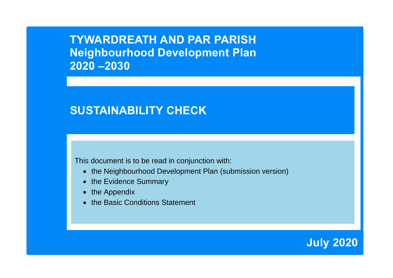**TYWARDREATH AND PAR PARISH Neighbourhood Development Plan 2020 –2030**

# **SUSTAINABILITY CHECK**

This document is to be read in conjunction with:

- the Neighbourhood Development Plan (submission version)
- the Evidence Summary
- the Appendix
- the Basic Conditions Statement

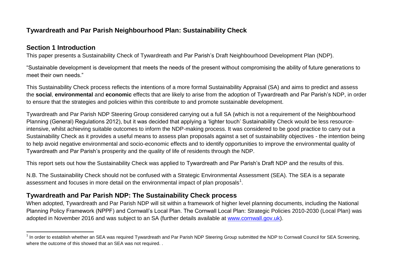# **Tywardreath and Par Parish Neighbourhood Plan: Sustainability Check**

### **Section 1 Introduction**

This paper presents a Sustainability Check of Tywardreath and Par Parish's Draft Neighbourhood Development Plan (NDP).

"Sustainable development is development that meets the needs of the present without compromising the ability of future generations to meet their own needs."

This Sustainability Check process reflects the intentions of a more formal Sustainability Appraisal (SA) and aims to predict and assess the **social**, **environmental** and **economic** effects that are likely to arise from the adoption of Tywardreath and Par Parish's NDP, in order to ensure that the strategies and policies within this contribute to and promote sustainable development.

Tywardreath and Par Parish NDP Steering Group considered carrying out a full SA (which is not a requirement of the Neighbourhood Planning (General) Regulations 2012), but it was decided that applying a 'lighter touch' Sustainability Check would be less resourceintensive, whilst achieving suitable outcomes to inform the NDP-making process. It was considered to be good practice to carry out a Sustainability Check as it provides a useful means to assess plan proposals against a set of sustainability objectives - the intention being to help avoid negative environmental and socio-economic effects and to identify opportunities to improve the environmental quality of Tywardreath and Par Parish's prosperity and the quality of life of residents through the NDP.

This report sets out how the Sustainability Check was applied to Tywardreath and Par Parish's Draft NDP and the results of this.

N.B. The Sustainability Check should not be confused with a Strategic Environmental Assessment (SEA). The SEA is a separate assessment and focuses in more detail on the environmental impact of plan proposals<sup>1</sup>.

# **Tywardreath and Par Parish NDP: The Sustainability Check process**

When adopted, Tywardreath and Par Parish NDP will sit within a framework of higher level planning documents, including the National Planning Policy Framework (NPPF) and Cornwall's Local Plan. The Cornwall Local Plan: Strategic Policies 2010-2030 (Local Plan) was adopted in November 2016 and was subject to an SA (further details available at [www.cornwall.gov.uk\)](http://www.cornwall.gov.uk/).

 1 In order to establish whether an SEA was required Tywardreath and Par Parish NDP Steering Group submitted the NDP to Cornwall Council for SEA Screening, where the outcome of this showed that an SEA was not required. .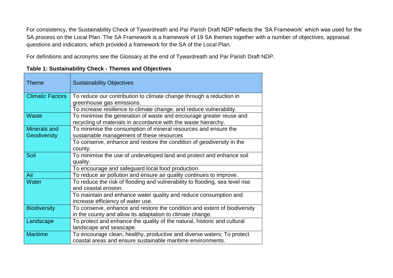For consistency, the Sustainability Check of Tywardreath and Par Parish Draft NDP reflects the 'SA Framework' which was used for the SA process on the Local Plan. The SA Framework is a framework of 19 SA themes together with a number of objectives, appraisal questions and indicators, which provided a framework for the SA of the Local Plan.

For definitions and acronyms see the Glossary at the end of Tywardreath and Par Parish Draft NDP.

**Table 1: Sustainability Check - Themes and Objectives**

| <b>Theme</b>            | <b>Sustainability Objectives</b>                                                                                                      |
|-------------------------|---------------------------------------------------------------------------------------------------------------------------------------|
| <b>Climatic Factors</b> | To reduce our contribution to climate change through a reduction in<br>greenhouse gas emissions.                                      |
|                         | To increase resilience to climate change, and reduce vulnerability.                                                                   |
| <b>Waste</b>            | To minimise the generation of waste and encourage greater reuse and<br>recycling of materials in accordance with the waste hierarchy. |
| Minerals and            | To minimise the consumption of mineral resources and ensure the                                                                       |
| Geodiversity            | sustainable management of these resources                                                                                             |
|                         | To conserve, enhance and restore the condition of geodiversity in the                                                                 |
|                         | county.                                                                                                                               |
| Soil                    | To minimise the use of undeveloped land and protect and enhance soil<br>quality.                                                      |
|                         | To encourage and safeguard local food production.                                                                                     |
| Air                     | To reduce air pollution and ensure air quality continues to improve.                                                                  |
| Water                   | To reduce the risk of flooding and vulnerability to flooding, sea level rise<br>and coastal erosion.                                  |
|                         | To maintain and enhance water quality and reduce consumption and                                                                      |
|                         | increase efficiency of water use.                                                                                                     |
| <b>Biodiversity</b>     | To conserve, enhance and restore the condition and extent of biodiversity                                                             |
|                         | in the county and allow its adaptation to climate change.                                                                             |
| Landscape               | To protect and enhance the quality of the natural, historic and cultural                                                              |
|                         | landscape and seascape.                                                                                                               |
| <b>Maritime</b>         | To encourage clean, healthy, productive and diverse waters; To protect                                                                |
|                         | coastal areas and ensure sustainable maritime environments.                                                                           |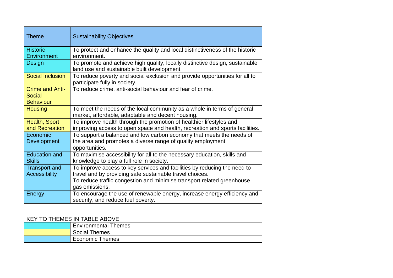| Theme                                                | <b>Sustainability Objectives</b>                                                                                                                                                                                                 |
|------------------------------------------------------|----------------------------------------------------------------------------------------------------------------------------------------------------------------------------------------------------------------------------------|
| <b>Historic</b><br>Environment                       | To protect and enhance the quality and local distinctiveness of the historic<br>environment.                                                                                                                                     |
| Design                                               | To promote and achieve high quality, locally distinctive design, sustainable<br>land use and sustainable built development.                                                                                                      |
| Social Inclusion                                     | To reduce poverty and social exclusion and provide opportunities for all to<br>participate fully in society.                                                                                                                     |
| <b>Crime and Anti-</b><br>Social<br><b>Behaviour</b> | To reduce crime, anti-social behaviour and fear of crime.                                                                                                                                                                        |
| <b>Housing</b>                                       | To meet the needs of the local community as a whole in terms of general<br>market, affordable, adaptable and decent housing.                                                                                                     |
| Health, Sport<br>and Recreation                      | To improve health through the promotion of healthier lifestyles and<br>improving access to open space and health, recreation and sports facilities.                                                                              |
| Economic<br>Development                              | To support a balanced and low carbon economy that meets the needs of<br>the area and promotes a diverse range of quality employment<br>opportunities.                                                                            |
| <b>Education and</b><br><b>Skills</b>                | To maximise accessibility for all to the necessary education, skills and<br>knowledge to play a full role in society.                                                                                                            |
| <b>Transport and</b><br><b>Accessibility</b>         | To improve access to key services and facilities by reducing the need to<br>travel and by providing safe sustainable travel choices.<br>To reduce traffic congestion and minimise transport related greenhouse<br>gas emissions. |
| Energy                                               | To encourage the use of renewable energy, increase energy efficiency and<br>security, and reduce fuel poverty.                                                                                                                   |

| KEY TO THEMES IN TABLE ABOVE |                             |  |
|------------------------------|-----------------------------|--|
|                              | <b>Environmental Themes</b> |  |
|                              | <b>Social Themes</b>        |  |
|                              | <b>Economic Themes</b>      |  |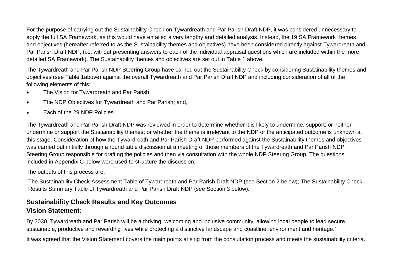For the purpose of carrying out the Sustainability Check on Tywardreath and Par Parish Draft NDP, it was considered unnecessary to apply the full SA Framework, as this would have entailed a very lengthy and detailed analysis. Instead, the 19 SA Framework themes and objectives (hereafter referred to as the Sustainability themes and objectives) have been considered directly against Tywardreath and Par Parish Draft NDP, (i.e. without presenting answers to each of the individual appraisal questions which are included within the more detailed SA Framework). The Sustainability themes and objectives are set out in Table 1 above.

The Tywardreath and Par Parish NDP Steering Group have carried out the Sustainability Check by considering Sustainability themes and objectives (see Table 1above) against the overall Tywardreath and Par Parish Draft NDP and including consideration of all of the following elements of this:

- The Vision for Tywardreath and Par Parish
- The NDP Objectives for Tywardreath and Par Parish; and,
- Each of the 29 NDP Policies.

The Tywardreath and Par Parish Draft NDP was reviewed in order to determine whether it is likely to undermine, support; or neither undermine or support the Sustainability themes; or whether the theme is irrelevant to the NDP or the anticipated outcome is unknown at this stage. Consideration of how the Tywardreath and Par Parish Draft NDP performed against the Sustainability themes and objectives was carried out initially through a round table discussion at a meeting of those members of the Tywardreath and Par Parish NDP Steering Group responsible for drafting the policies and then via consultation with the whole NDP Steering Group. The questions included in Appendix C below were used to structure the discussion.

The outputs of this process are:

The Sustainability Check Assessment Table of Tywardreath and Par Parish Draft NDP (see Section 2 below); The Sustainability Check Results Summary Table of Tywardreath and Par Parish Draft NDP (see Section 3 below).

# **Sustainability Check Results and Key Outcomes Vision Statement:**

By 2030, Tywardreath and Par Parish will be a thriving, welcoming and inclusive community, allowing local people to lead secure, sustainable, productive and rewarding lives while protecting a distinctive landscape and coastline, environment and heritage."

It was agreed that the Vision Statement covers the main points arising from the consultation process and meets the sustainability criteria.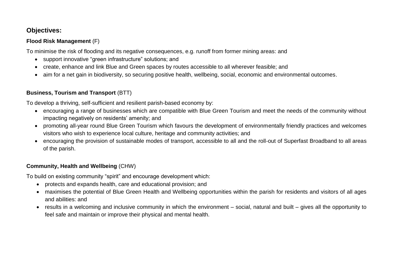# **Objectives:**

#### **Flood Risk Management** (F)

To minimise the risk of flooding and its negative consequences, e.g. runoff from former mining areas: and

- support innovative "green infrastructure" solutions; and
- create, enhance and link Blue and Green spaces by routes accessible to all wherever feasible; and
- aim for a net gain in biodiversity, so securing positive health, wellbeing, social, economic and environmental outcomes.

#### **Business, Tourism and Transport** (BTT)

To develop a thriving, self-sufficient and resilient parish-based economy by:

- encouraging a range of businesses which are compatible with Blue Green Tourism and meet the needs of the community without impacting negatively on residents' amenity; and
- promoting all-year round Blue Green Tourism which favours the development of environmentally friendly practices and welcomes visitors who wish to experience local culture, heritage and community activities; and
- encouraging the provision of sustainable modes of transport, accessible to all and the roll-out of Superfast Broadband to all areas of the parish.

#### **Community, Health and Wellbeing** (CHW)

To build on existing community "spirit" and encourage development which:

- protects and expands health, care and educational provision; and
- maximises the potential of Blue Green Health and Wellbeing opportunities within the parish for residents and visitors of all ages and abilities: and
- results in a welcoming and inclusive community in which the environment social, natural and built gives all the opportunity to feel safe and maintain or improve their physical and mental health.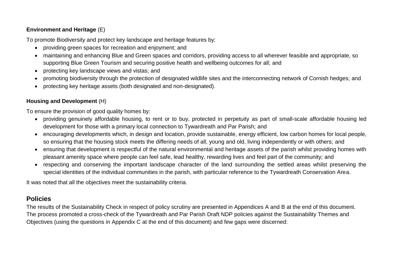#### **Environment and Heritage** (E)

To promote Biodiversity and protect key landscape and heritage features by:

- providing green spaces for recreation and enjoyment; and
- maintaining and enhancing Blue and Green spaces and corridors, providing access to all wherever feasible and appropriate, so supporting Blue Green Tourism and securing positive health and wellbeing outcomes for all; and
- protecting key landscape views and vistas; and
- promoting biodiversity through the protection of designated wildlife sites and the interconnecting network of Cornish hedges; and
- protecting key heritage assets (both designated and non-designated).

#### **Housing and Development** (H)

To ensure the provision of good quality homes by:

- providing genuinely affordable housing, to rent or to buy, protected in perpetuity as part of small-scale affordable housing led development for those with a primary local connection to Tywardreath and Par Parish; and
- encouraging developments which, in design and location, provide sustainable, energy efficient, low carbon homes for local people, so ensuring that the housing stock meets the differing needs of all, young and old, living independently or with others; and
- ensuring that development is respectful of the natural environmental and heritage assets of the parish whilst providing homes with pleasant amenity space where people can feel safe, lead healthy, rewarding lives and feel part of the community; and
- respecting and conserving the important landscape character of the land surrounding the settled areas whilst preserving the special identities of the individual communities in the parish, with particular reference to the Tywardreath Conservation Area.

It was noted that all the objectives meet the sustainability criteria.

# **Policies**

The results of the Sustainability Check in respect of policy scrutiny are presented in Appendices A and B at the end of this document. The process promoted a cross-check of the Tywardreath and Par Parish Draft NDP policies against the Sustainability Themes and Objectives (using the questions in Appendix C at the end of this document) and few gaps were discerned: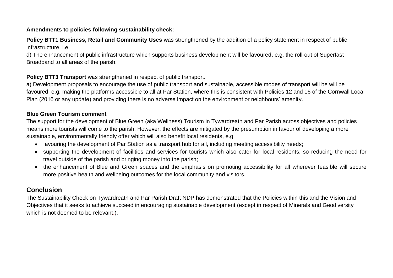#### **Amendments to policies following sustainability check:**

**Policy BTT1 Business, Retail and Community Uses** was strengthened by the addition of a policy statement in respect of public infrastructure, i.e.

d) The enhancement of public infrastructure which supports business development will be favoured, e.g. the roll-out of Superfast Broadband to all areas of the parish.

**Policy BTT3 Transport** was strengthened in respect of public transport.

a) Development proposals to encourage the use of public transport and sustainable, accessible modes of transport will be will be favoured, e.g. making the platforms accessible to all at Par Station, where this is consistent with Policies 12 and 16 of the Cornwall Local Plan (2016 or any update) and providing there is no adverse impact on the environment or neighbours' amenity.

#### **Blue Green Tourism comment**

The support for the development of Blue Green (aka Wellness) Tourism in Tywardreath and Par Parish across objectives and policies means more tourists will come to the parish. However, the effects are mitigated by the presumption in favour of developing a more sustainable, environmentally friendly offer which will also benefit local residents, e.g.

- favouring the development of Par Station as a transport hub for all, including meeting accessibility needs;
- supporting the development of facilities and services for tourists which also cater for local residents, so reducing the need for travel outside of the parish and bringing money into the parish;
- the enhancement of Blue and Green spaces and the emphasis on promoting accessibility for all wherever feasible will secure more positive health and wellbeing outcomes for the local community and visitors.

# **Conclusion**

The Sustainability Check on Tywardreath and Par Parish Draft NDP has demonstrated that the Policies within this and the Vision and Objectives that it seeks to achieve succeed in encouraging sustainable development (except in respect of Minerals and Geodiversity which is not deemed to be relevant.).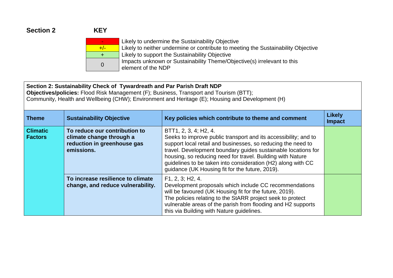# **Section 2 KEY**

|       | i<br>L         |
|-------|----------------|
| $+/-$ | i<br>L         |
| +     | Li             |
| 0     | lη             |
|       | e <sub>l</sub> |

ikely to undermine the Sustainability Objective ikely to neither undermine or contribute to meeting the Sustainability Objective ikely to support the Sustainability Objective Impacts unknown or Sustainability Theme/Objective(s) irrelevant to this lement of the NDP

#### **Section 2: Sustainability Check of Tywardreath and Par Parish Draft NDP**

**Objectives/policies:** Flood Risk Management (F); Business, Transport and Tourism (BTT); Community, Health and Wellbeing (CHW); Environment and Heritage (E); Housing and Development (H)

| <b>Theme</b>                      | <b>Sustainability Objective</b>                                                                        | Key policies which contribute to theme and comment                                                                                                                                                                                                                                                                                                                                                         | <b>Likely</b><br><b>Impact</b> |
|-----------------------------------|--------------------------------------------------------------------------------------------------------|------------------------------------------------------------------------------------------------------------------------------------------------------------------------------------------------------------------------------------------------------------------------------------------------------------------------------------------------------------------------------------------------------------|--------------------------------|
| <b>Climatic</b><br><b>Factors</b> | To reduce our contribution to<br>climate change through a<br>reduction in greenhouse gas<br>emissions. | BTT1, 2, 3, 4; H2, 4.<br>Seeks to improve public transport and its accessibility; and to<br>support local retail and businesses, so reducing the need to<br>travel. Development boundary guides sustainable locations for<br>housing, so reducing need for travel. Building with Nature<br>quidelines to be taken into consideration (H2) along with CC<br>guidance (UK Housing fit for the future, 2019). |                                |
|                                   | To increase resilience to climate<br>change, and reduce vulnerability.                                 | F1, 2, 3; H2, 4.<br>Development proposals which include CC recommendations<br>will be favoured (UK Housing fit for the future, 2019).<br>The policies relating to the StARR project seek to protect<br>vulnerable areas of the parish from flooding and H2 supports<br>this via Building with Nature guidelines.                                                                                           |                                |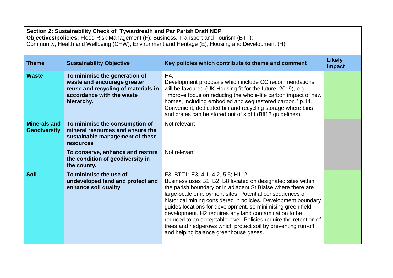| Section 2: Sustainability Check of Tywardreath and Par Parish Draft NDP<br>Objectives/policies: Flood Risk Management (F); Business, Transport and Tourism (BTT);<br>Community, Health and Wellbeing (CHW); Environment and Heritage (E); Housing and Development (H) |                                                                                                                                                |                                                                                                                                                                                                                                                                                                                                                                                                                                                                                                                                                                                                       |                                |
|-----------------------------------------------------------------------------------------------------------------------------------------------------------------------------------------------------------------------------------------------------------------------|------------------------------------------------------------------------------------------------------------------------------------------------|-------------------------------------------------------------------------------------------------------------------------------------------------------------------------------------------------------------------------------------------------------------------------------------------------------------------------------------------------------------------------------------------------------------------------------------------------------------------------------------------------------------------------------------------------------------------------------------------------------|--------------------------------|
| <b>Theme</b>                                                                                                                                                                                                                                                          | <b>Sustainability Objective</b>                                                                                                                | Key policies which contribute to theme and comment                                                                                                                                                                                                                                                                                                                                                                                                                                                                                                                                                    | <b>Likely</b><br><b>Impact</b> |
| <b>Waste</b>                                                                                                                                                                                                                                                          | To minimise the generation of<br>waste and encourage greater<br>reuse and recycling of materials in<br>accordance with the waste<br>hierarchy. | H4.<br>Development proposals which include CC recommendations<br>will be favoured (UK Housing fit for the future, 2019), e.g.<br>"improve focus on reducing the whole-life carbon impact of new<br>homes, including embodied and sequestered carbon." p.14.<br>Convenient, dedicated bin and recycling storage where bins<br>and crates can be stored out of sight (BfI12 guidelines);                                                                                                                                                                                                                |                                |
| <b>Minerals and</b><br><b>Geodiversity</b>                                                                                                                                                                                                                            | To minimise the consumption of<br>mineral resources and ensure the<br>sustainable management of these<br><b>resources</b>                      | Not relevant                                                                                                                                                                                                                                                                                                                                                                                                                                                                                                                                                                                          |                                |
|                                                                                                                                                                                                                                                                       | To conserve, enhance and restore<br>the condition of geodiversity in<br>the county.                                                            | Not relevant                                                                                                                                                                                                                                                                                                                                                                                                                                                                                                                                                                                          |                                |
| <b>Soil</b>                                                                                                                                                                                                                                                           | To minimise the use of<br>undeveloped land and protect and<br>enhance soil quality.                                                            | F3; BTT1; E3, 4.1, 4.2, 5.5; H1, 2.<br>Business uses B1, B2, B8 located on designated sites within<br>the parish boundary or in adjacent St Blaise where there are<br>large-scale employment sites. Potential consequences of<br>historical mining considered in policies. Development boundary<br>guides locations for development, so minimising green field<br>development. H2 requires any land contamination to be<br>reduced to an acceptable level. Policies require the retention of<br>trees and hedgerows which protect soil by preventing run-off<br>and helping balance greenhouse gases. |                                |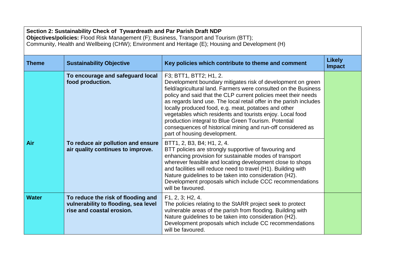| Section 2: Sustainability Check of Tywardreath and Par Parish Draft NDP<br>Objectives/policies: Flood Risk Management (F); Business, Transport and Tourism (BTT);<br>Community, Health and Wellbeing (CHW); Environment and Heritage (E); Housing and Development (H) |                                                                                                         |                                                                                                                                                                                                                                                                                                                                                                                                                                                                                                                                                                              |                                |  |
|-----------------------------------------------------------------------------------------------------------------------------------------------------------------------------------------------------------------------------------------------------------------------|---------------------------------------------------------------------------------------------------------|------------------------------------------------------------------------------------------------------------------------------------------------------------------------------------------------------------------------------------------------------------------------------------------------------------------------------------------------------------------------------------------------------------------------------------------------------------------------------------------------------------------------------------------------------------------------------|--------------------------------|--|
| <b>Theme</b>                                                                                                                                                                                                                                                          | <b>Sustainability Objective</b>                                                                         | Key policies which contribute to theme and comment                                                                                                                                                                                                                                                                                                                                                                                                                                                                                                                           | <b>Likely</b><br><b>Impact</b> |  |
|                                                                                                                                                                                                                                                                       | To encourage and safeguard local<br>food production.                                                    | F3; BTT1, BTT2; H1, 2.<br>Development boundary mitigates risk of development on green<br>field/agricultural land. Farmers were consulted on the Business<br>policy and said that the CLP current policies meet their needs<br>as regards land use. The local retail offer in the parish includes<br>locally produced food, e.g. meat, potatoes and other<br>vegetables which residents and tourists enjoy. Local food<br>production integral to Blue Green Tourism. Potential<br>consequences of historical mining and run-off considered as<br>part of housing development. |                                |  |
| Air                                                                                                                                                                                                                                                                   | To reduce air pollution and ensure<br>air quality continues to improve.                                 | BTT1, 2, B3, B4; H1, 2, 4.<br>BTT policies are strongly supportive of favouring and<br>enhancing provision for sustainable modes of transport<br>wherever feasible and locating development close to shops<br>and facilities will reduce need to travel (H1). Building with<br>Nature guidelines to be taken into consideration (H2).<br>Development proposals which include CCC recommendations<br>will be favoured.                                                                                                                                                        |                                |  |
| <b>Water</b>                                                                                                                                                                                                                                                          | To reduce the risk of flooding and<br>vulnerability to flooding, sea level<br>rise and coastal erosion. | F1, 2, 3; H2, 4.<br>The policies relating to the StARR project seek to protect<br>vulnerable areas of the parish from flooding. Building with<br>Nature guidelines to be taken into consideration (H2).<br>Development proposals which include CC recommendations<br>will be favoured.                                                                                                                                                                                                                                                                                       |                                |  |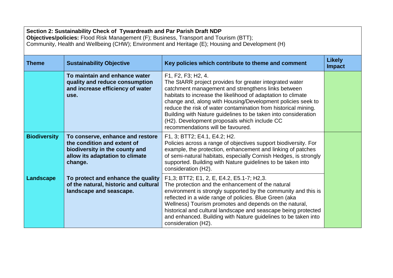| Section 2: Sustainability Check of Tywardreath and Par Parish Draft NDP<br>Objectives/policies: Flood Risk Management (F); Business, Transport and Tourism (BTT);<br>Community, Health and Wellbeing (CHW); Environment and Heritage (E); Housing and Development (H) |                                                                                                                                                 |                                                                                                                                                                                                                                                                                                                                                                                                                                                                                             |                                |  |
|-----------------------------------------------------------------------------------------------------------------------------------------------------------------------------------------------------------------------------------------------------------------------|-------------------------------------------------------------------------------------------------------------------------------------------------|---------------------------------------------------------------------------------------------------------------------------------------------------------------------------------------------------------------------------------------------------------------------------------------------------------------------------------------------------------------------------------------------------------------------------------------------------------------------------------------------|--------------------------------|--|
| <b>Theme</b>                                                                                                                                                                                                                                                          | <b>Sustainability Objective</b>                                                                                                                 | Key policies which contribute to theme and comment                                                                                                                                                                                                                                                                                                                                                                                                                                          | <b>Likely</b><br><b>Impact</b> |  |
|                                                                                                                                                                                                                                                                       | To maintain and enhance water<br>quality and reduce consumption<br>and increase efficiency of water<br>use.                                     | F1, F2, F3; H2, 4.<br>The StARR project provides for greater integrated water<br>catchment management and strengthens links between<br>habitats to increase the likelihood of adaptation to climate<br>change and, along with Housing/Development policies seek to<br>reduce the risk of water contamination from historical mining.<br>Building with Nature guidelines to be taken into consideration<br>(H2). Development proposals which include CC<br>recommendations will be favoured. |                                |  |
| <b>Biodiversity</b>                                                                                                                                                                                                                                                   | To conserve, enhance and restore<br>the condition and extent of<br>biodiversity in the county and<br>allow its adaptation to climate<br>change. | F1, 3; BTT2; E4.1, E4.2; H2.<br>Policies across a range of objectives support biodiversity. For<br>example, the protection, enhancement and linking of patches<br>of semi-natural habitats, especially Cornish Hedges, is strongly<br>supported. Building with Nature guidelines to be taken into<br>consideration (H2).                                                                                                                                                                    |                                |  |
| Landscape                                                                                                                                                                                                                                                             | To protect and enhance the quality<br>of the natural, historic and cultural<br>landscape and seascape.                                          | F1,3; BTT2; E1, 2, E, E4.2, E5.1-7; H2,3.<br>The protection and the enhancement of the natural<br>environment is strongly supported by the community and this is<br>reflected in a wide range of policies. Blue Green (aka<br>Wellness) Tourism promotes and depends on the natural,<br>historical and cultural landscape and seascape being protected<br>and enhanced. Building with Nature guidelines to be taken into<br>consideration (H2).                                             |                                |  |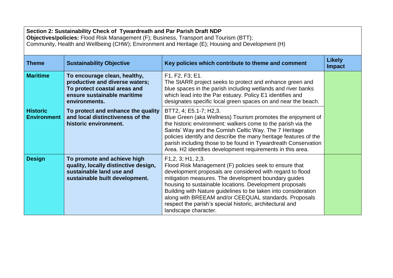| Section 2: Sustainability Check of Tywardreath and Par Parish Draft NDP<br>Objectives/policies: Flood Risk Management (F); Business, Transport and Tourism (BTT);<br>Community, Health and Wellbeing (CHW); Environment and Heritage (E); Housing and Development (H) |                                                                                                                                                |                                                                                                                                                                                                                                                                                                                                                                                                                                                                          |                                |
|-----------------------------------------------------------------------------------------------------------------------------------------------------------------------------------------------------------------------------------------------------------------------|------------------------------------------------------------------------------------------------------------------------------------------------|--------------------------------------------------------------------------------------------------------------------------------------------------------------------------------------------------------------------------------------------------------------------------------------------------------------------------------------------------------------------------------------------------------------------------------------------------------------------------|--------------------------------|
| <b>Theme</b>                                                                                                                                                                                                                                                          | <b>Sustainability Objective</b>                                                                                                                | Key policies which contribute to theme and comment                                                                                                                                                                                                                                                                                                                                                                                                                       | <b>Likely</b><br><b>Impact</b> |
| <b>Maritime</b>                                                                                                                                                                                                                                                       | To encourage clean, healthy,<br>productive and diverse waters;<br>To protect coastal areas and<br>ensure sustainable maritime<br>environments. | F1, F2, F3; E1.<br>The StARR project seeks to protect and enhance green and<br>blue spaces in the parish including wetlands and river banks<br>which lead into the Par estuary. Policy E1 identifies and<br>designates specific local green spaces on and near the beach.                                                                                                                                                                                                |                                |
| <b>Historic</b><br><b>Environment</b>                                                                                                                                                                                                                                 | To protect and enhance the quality<br>and local distinctiveness of the<br>historic environment.                                                | BTT2, 4; E5.1-7; H2,3.<br>Blue Green (aka Wellness) Tourism promotes the enjoyment of<br>the historic environment: walkers come to the parish via the<br>Saints' Way and the Cornish Celtic Way. The 7 Heritage<br>policies identify and describe the many heritage features of the<br>parish including those to be found in Tywardreath Conservation<br>Area. H2 identifies development requirements in this area.                                                      |                                |
| <b>Design</b>                                                                                                                                                                                                                                                         | To promote and achieve high<br>quality, locally distinctive design,<br>sustainable land use and<br>sustainable built development.              | F1,2,3; H1,2,3.<br>Flood Risk Management (F) policies seek to ensure that<br>development proposals are considered with regard to flood<br>mitigation measures. The development boundary guides<br>housing to sustainable locations. Development proposals<br>Building with Nature guidelines to be taken into consideration<br>along with BREEAM and/or CEEQUAL standards. Proposals<br>respect the parish's special historic, architectural and<br>landscape character. |                                |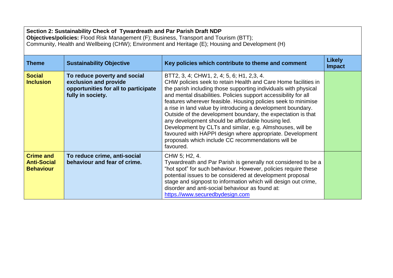| Section 2: Sustainability Check of Tywardreath and Par Parish Draft NDP<br>Objectives/policies: Flood Risk Management (F); Business, Transport and Tourism (BTT);<br>Community, Health and Wellbeing (CHW); Environment and Heritage (E); Housing and Development (H) |                                                                                                                    |                                                                                                                                                                                                                                                                                                                                                                                                                                                                                                                                                                                                                                                                                                     |                                |  |
|-----------------------------------------------------------------------------------------------------------------------------------------------------------------------------------------------------------------------------------------------------------------------|--------------------------------------------------------------------------------------------------------------------|-----------------------------------------------------------------------------------------------------------------------------------------------------------------------------------------------------------------------------------------------------------------------------------------------------------------------------------------------------------------------------------------------------------------------------------------------------------------------------------------------------------------------------------------------------------------------------------------------------------------------------------------------------------------------------------------------------|--------------------------------|--|
| <b>Theme</b>                                                                                                                                                                                                                                                          | <b>Sustainability Objective</b>                                                                                    | Key policies which contribute to theme and comment                                                                                                                                                                                                                                                                                                                                                                                                                                                                                                                                                                                                                                                  | <b>Likely</b><br><b>Impact</b> |  |
| <b>Social</b><br><b>Inclusion</b>                                                                                                                                                                                                                                     | To reduce poverty and social<br>exclusion and provide<br>opportunities for all to participate<br>fully in society. | BTT2, 3, 4; CHW1, 2, 4; 5, 6; H1, 2,3, 4.<br>CHW policies seek to retain Health and Care Home facilities in<br>the parish including those supporting individuals with physical<br>and mental disabilities. Policies support accessibility for all<br>features wherever feasible. Housing policies seek to minimise<br>a rise in land value by introducing a development boundary.<br>Outside of the development boundary, the expectation is that<br>any development should be affordable housing led.<br>Development by CLTs and similar, e.g. Almshouses, will be<br>favoured with HAPPI design where appropriate. Development<br>proposals which include CC recommendations will be<br>favoured. |                                |  |
| <b>Crime and</b><br><b>Anti-Social</b><br><b>Behaviour</b>                                                                                                                                                                                                            | To reduce crime, anti-social<br>behaviour and fear of crime.                                                       | CHW 5; H2, 4.<br>Tywardreath and Par Parish is generally not considered to be a<br>"hot spot" for such behaviour. However, policies require these<br>potential issues to be considered at development proposal<br>stage and signpost to information which will design out crime,<br>disorder and anti-social behaviour as found at:<br>https.//www.securedbydesign.com                                                                                                                                                                                                                                                                                                                              |                                |  |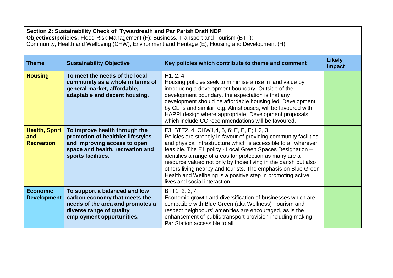| Section 2: Sustainability Check of Tywardreath and Par Parish Draft NDP<br>Objectives/policies: Flood Risk Management (F); Business, Transport and Tourism (BTT);<br>Community, Health and Wellbeing (CHW); Environment and Heritage (E); Housing and Development (H) |                                                                                                                                                              |                                                                                                                                                                                                                                                                                                                                                                                                                                                                                                                                                  |                                |  |
|-----------------------------------------------------------------------------------------------------------------------------------------------------------------------------------------------------------------------------------------------------------------------|--------------------------------------------------------------------------------------------------------------------------------------------------------------|--------------------------------------------------------------------------------------------------------------------------------------------------------------------------------------------------------------------------------------------------------------------------------------------------------------------------------------------------------------------------------------------------------------------------------------------------------------------------------------------------------------------------------------------------|--------------------------------|--|
| <b>Theme</b>                                                                                                                                                                                                                                                          | <b>Sustainability Objective</b>                                                                                                                              | Key policies which contribute to theme and comment                                                                                                                                                                                                                                                                                                                                                                                                                                                                                               | <b>Likely</b><br><b>Impact</b> |  |
| <b>Housing</b>                                                                                                                                                                                                                                                        | To meet the needs of the local<br>community as a whole in terms of<br>general market, affordable,<br>adaptable and decent housing.                           | H1, 2, 4.<br>Housing policies seek to minimise a rise in land value by<br>introducing a development boundary. Outside of the<br>development boundary, the expectation is that any<br>development should be affordable housing led. Development<br>by CLTs and similar, e.g. Almshouses, will be favoured with<br>HAPPI design where appropriate. Development proposals<br>which include CC recommendations will be favoured.                                                                                                                     |                                |  |
| <b>Health, Sport</b><br>and<br><b>Recreation</b>                                                                                                                                                                                                                      | To improve health through the<br>promotion of healthier lifestyles<br>and improving access to open<br>space and health, recreation and<br>sports facilities. | F3; BTT2, 4; CHW1,4, 5, 6; E, E, E; H2, 3.<br>Policies are strongly in favour of providing community facilities<br>and physical infrastructure which is accessible to all wherever<br>feasible. The E1 policy - Local Green Spaces Designation -<br>identifies a range of areas for protection as many are a<br>resource valued not only by those living in the parish but also<br>others living nearby and tourists. The emphasis on Blue Green<br>Health and Wellbeing is a positive step in promoting active<br>lives and social interaction. |                                |  |
| <b>Economic</b><br><b>Development</b>                                                                                                                                                                                                                                 | To support a balanced and low<br>carbon economy that meets the<br>needs of the area and promotes a<br>diverse range of quality<br>employment opportunities.  | BTT1, 2, 3, 4;<br>Economic growth and diversification of businesses which are<br>compatible with Blue Green (aka Wellness) Tourism and<br>respect neighbours' amenities are encouraged, as is the<br>enhancement of public transport provision including making<br>Par Station accessible to all.                                                                                                                                                                                                                                                |                                |  |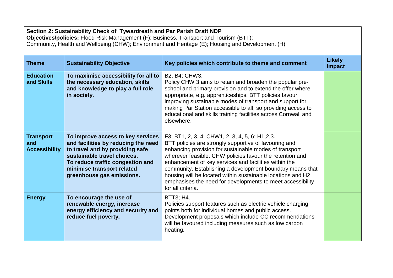| Section 2: Sustainability Check of Tywardreath and Par Parish Draft NDP<br>Objectives/policies: Flood Risk Management (F); Business, Transport and Tourism (BTT);<br>Community, Health and Wellbeing (CHW); Environment and Heritage (E); Housing and Development (H) |                                                                                                                                                                                                                                           |                                                                                                                                                                                                                                                                                                                                                                                                                                                                                                         |                                |  |
|-----------------------------------------------------------------------------------------------------------------------------------------------------------------------------------------------------------------------------------------------------------------------|-------------------------------------------------------------------------------------------------------------------------------------------------------------------------------------------------------------------------------------------|---------------------------------------------------------------------------------------------------------------------------------------------------------------------------------------------------------------------------------------------------------------------------------------------------------------------------------------------------------------------------------------------------------------------------------------------------------------------------------------------------------|--------------------------------|--|
| <b>Theme</b>                                                                                                                                                                                                                                                          | <b>Sustainability Objective</b>                                                                                                                                                                                                           | Key policies which contribute to theme and comment                                                                                                                                                                                                                                                                                                                                                                                                                                                      | <b>Likely</b><br><b>Impact</b> |  |
| <b>Education</b><br>and Skills                                                                                                                                                                                                                                        | To maximise accessibility for all to<br>the necessary education, skills<br>and knowledge to play a full role<br>in society.                                                                                                               | B2, B4; CHW3.<br>Policy CHW 3 aims to retain and broaden the popular pre-<br>school and primary provision and to extend the offer where<br>appropriate, e.g. apprenticeships. BTT policies favour<br>improving sustainable modes of transport and support for<br>making Par Station accessible to all, so providing access to<br>educational and skills training facilities across Cornwall and<br>elsewhere.                                                                                           |                                |  |
| <b>Transport</b><br>and<br><b>Accessibility</b>                                                                                                                                                                                                                       | To improve access to key services<br>and facilities by reducing the need<br>to travel and by providing safe<br>sustainable travel choices.<br>To reduce traffic congestion and<br>minimise transport related<br>greenhouse gas emissions. | F3; BT1, 2, 3, 4; CHW1, 2, 3, 4, 5, 6; H1, 2, 3.<br>BTT policies are strongly supportive of favouring and<br>enhancing provision for sustainable modes of transport<br>wherever feasible. CHW policies favour the retention and<br>enhancement of key services and facilities within the<br>community. Establishing a development boundary means that<br>housing will be located within sustainable locations and H2<br>emphasises the need for developments to meet accessibility<br>for all criteria. |                                |  |
| <b>Energy</b>                                                                                                                                                                                                                                                         | To encourage the use of<br>renewable energy, increase<br>energy efficiency and security and<br>reduce fuel poverty.                                                                                                                       | BTT3; H4.<br>Policies support features such as electric vehicle charging<br>points both for individual homes and public access.<br>Development proposals which include CC recommendations<br>will be favoured including measures such as low carbon<br>heating.                                                                                                                                                                                                                                         |                                |  |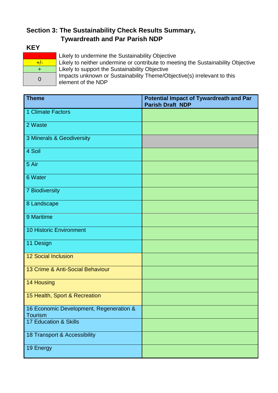# **Section 3: The Sustainability Check Results Summary, Tywardreath and Par Parish NDP**

## **KEY**

|       | L |
|-------|---|
| $+/-$ | l |
| +     | L |
| 0     |   |
|       | f |

Likely to undermine the Sustainability Objective Likely to neither undermine or contribute to meeting the Sustainability Objective Likely to support the Sustainability Objective Impacts unknown or Sustainability Theme/Objective(s) irrelevant to this element of the NDP

| <b>Theme</b>                                              | <b>Potential Impact of Tywardreath and Par</b><br><b>Parish Draft NDP</b> |
|-----------------------------------------------------------|---------------------------------------------------------------------------|
| 1 Climate Factors                                         |                                                                           |
| 2 Waste                                                   |                                                                           |
| 3 Minerals & Geodiversity                                 |                                                                           |
| 4 Soil                                                    |                                                                           |
| 5 Air                                                     |                                                                           |
| 6 Water                                                   |                                                                           |
| <b>7 Biodiversity</b>                                     |                                                                           |
| 8 Landscape                                               |                                                                           |
| 9 Maritime                                                |                                                                           |
| <b>10 Historic Environment</b>                            |                                                                           |
| 11 Design                                                 |                                                                           |
| <b>12 Social Inclusion</b>                                |                                                                           |
| 13 Crime & Anti-Social Behaviour                          |                                                                           |
| 14 Housing                                                |                                                                           |
| 15 Health, Sport & Recreation                             |                                                                           |
| 16 Economic Development, Regeneration &<br><b>Tourism</b> |                                                                           |
| 17 Education & Skills                                     |                                                                           |
| 18 Transport & Accessibility                              |                                                                           |
| 19 Energy                                                 |                                                                           |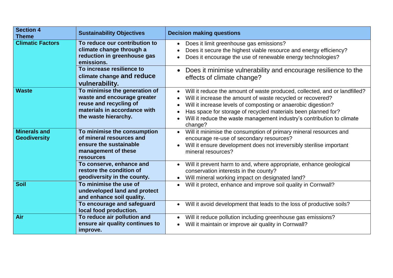| <b>Section 4</b><br><b>Theme</b>           | <b>Sustainability Objectives</b>                                                                                                               | <b>Decision making questions</b>                                                                                                                                                                                                                                                                                                                                                                                                  |
|--------------------------------------------|------------------------------------------------------------------------------------------------------------------------------------------------|-----------------------------------------------------------------------------------------------------------------------------------------------------------------------------------------------------------------------------------------------------------------------------------------------------------------------------------------------------------------------------------------------------------------------------------|
| <b>Climatic Factors</b>                    | To reduce our contribution to<br>climate change through a<br>reduction in greenhouse gas<br>emissions.                                         | Does it limit greenhouse gas emissions?<br>$\bullet$<br>Does it secure the highest viable resource and energy efficiency?<br>$\bullet$<br>Does it encourage the use of renewable energy technologies?                                                                                                                                                                                                                             |
|                                            | To increase resilience to<br>climate change and reduce<br>vulnerability.                                                                       | Does it minimise vulnerability and encourage resilience to the<br>effects of climate change?                                                                                                                                                                                                                                                                                                                                      |
| <b>Waste</b>                               | To minimise the generation of<br>waste and encourage greater<br>reuse and recycling of<br>materials in accordance with<br>the waste hierarchy. | Will it reduce the amount of waste produced, collected, and or landfilled?<br>$\bullet$<br>Will it increase the amount of waste recycled or recovered?<br>$\bullet$<br>Will it increase levels of composting or anaerobic digestion?<br>$\bullet$<br>Has space for storage of recycled materials been planned for?<br>$\bullet$<br>Will it reduce the waste management industry's contribution to climate<br>$\bullet$<br>change? |
| <b>Minerals and</b><br><b>Geodiversity</b> | To minimise the consumption<br>of mineral resources and<br>ensure the sustainable<br>management of these<br><b>resources</b>                   | Will it minimise the consumption of primary mineral resources and<br>$\bullet$<br>encourage re-use of secondary resources?<br>Will it ensure development does not irreversibly sterilise important<br>mineral resources?                                                                                                                                                                                                          |
|                                            | To conserve, enhance and<br>restore the condition of<br>geodiversity in the county.                                                            | Will it prevent harm to and, where appropriate, enhance geological<br>$\bullet$<br>conservation interests in the county?<br>Will mineral working impact on designated land?<br>$\bullet$                                                                                                                                                                                                                                          |
| <b>Soil</b>                                | To minimise the use of<br>undeveloped land and protect<br>and enhance soil quality.                                                            | Will it protect, enhance and improve soil quality in Cornwall?<br>$\bullet$                                                                                                                                                                                                                                                                                                                                                       |
|                                            | To encourage and safeguard<br>local food production.                                                                                           | Will it avoid development that leads to the loss of productive soils?                                                                                                                                                                                                                                                                                                                                                             |
| Air                                        | To reduce air pollution and<br>ensure air quality continues to<br>improve.                                                                     | Will it reduce pollution including greenhouse gas emissions?<br>Will it maintain or improve air quality in Cornwall?                                                                                                                                                                                                                                                                                                              |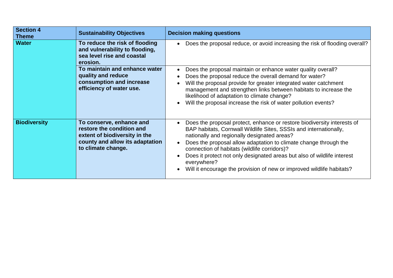| <b>Section 4</b><br><b>Theme</b> | <b>Sustainability Objectives</b>                                                                                                                | <b>Decision making questions</b>                                                                                                                                                                                                                                                                                                                                                                                                                                                                |
|----------------------------------|-------------------------------------------------------------------------------------------------------------------------------------------------|-------------------------------------------------------------------------------------------------------------------------------------------------------------------------------------------------------------------------------------------------------------------------------------------------------------------------------------------------------------------------------------------------------------------------------------------------------------------------------------------------|
| <b>Water</b>                     | To reduce the risk of flooding<br>and vulnerability to flooding,<br>sea level rise and coastal<br>erosion.                                      | Does the proposal reduce, or avoid increasing the risk of flooding overall?<br>$\bullet$                                                                                                                                                                                                                                                                                                                                                                                                        |
|                                  | To maintain and enhance water<br>quality and reduce<br>consumption and increase<br>efficiency of water use.                                     | Does the proposal maintain or enhance water quality overall?<br>$\bullet$<br>Does the proposal reduce the overall demand for water?<br>Will the proposal provide for greater integrated water catchment<br>management and strengthen links between habitats to increase the<br>likelihood of adaptation to climate change?<br>Will the proposal increase the risk of water pollution events?                                                                                                    |
| <b>Biodiversity</b>              | To conserve, enhance and<br>restore the condition and<br>extent of biodiversity in the<br>county and allow its adaptation<br>to climate change. | Does the proposal protect, enhance or restore biodiversity interests of<br>$\bullet$<br>BAP habitats, Cornwall Wildlife Sites, SSSIs and internationally,<br>nationally and regionally designated areas?<br>Does the proposal allow adaptation to climate change through the<br>connection of habitats (wildlife corridors)?<br>Does it protect not only designated areas but also of wildlife interest<br>everywhere?<br>Will it encourage the provision of new or improved wildlife habitats? |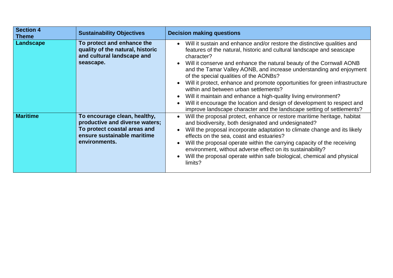| <b>Section 4</b><br><b>Theme</b> | <b>Sustainability Objectives</b>                                                                                                               | <b>Decision making questions</b>                                                                                                                                                                                                                                                                                                                                                                                                                                                                                                                                                                                                                                                                                                                            |
|----------------------------------|------------------------------------------------------------------------------------------------------------------------------------------------|-------------------------------------------------------------------------------------------------------------------------------------------------------------------------------------------------------------------------------------------------------------------------------------------------------------------------------------------------------------------------------------------------------------------------------------------------------------------------------------------------------------------------------------------------------------------------------------------------------------------------------------------------------------------------------------------------------------------------------------------------------------|
| <b>Landscape</b>                 | To protect and enhance the<br>quality of the natural, historic<br>and cultural landscape and<br>seascape.                                      | Will it sustain and enhance and/or restore the distinctive qualities and<br>$\bullet$<br>features of the natural, historic and cultural landscape and seascape<br>character?<br>Will it conserve and enhance the natural beauty of the Cornwall AONB<br>$\bullet$<br>and the Tamar Valley AONB, and increase understanding and enjoyment<br>of the special qualities of the AONBs?<br>Will it protect, enhance and promote opportunities for green infrastructure<br>within and between urban settlements?<br>Will it maintain and enhance a high-quality living environment?<br>$\bullet$<br>Will it encourage the location and design of development to respect and<br>$\bullet$<br>improve landscape character and the landscape setting of settlements? |
| <b>Maritime</b>                  | To encourage clean, healthy,<br>productive and diverse waters;<br>To protect coastal areas and<br>ensure sustainable maritime<br>environments. | Will the proposal protect, enhance or restore maritime heritage, habitat<br>$\bullet$<br>and biodiversity, both designated and undesignated?<br>Will the proposal incorporate adaptation to climate change and its likely<br>effects on the sea, coast and estuaries?<br>Will the proposal operate within the carrying capacity of the receiving<br>environment, without adverse effect on its sustainability?<br>Will the proposal operate within safe biological, chemical and physical<br>limits?                                                                                                                                                                                                                                                        |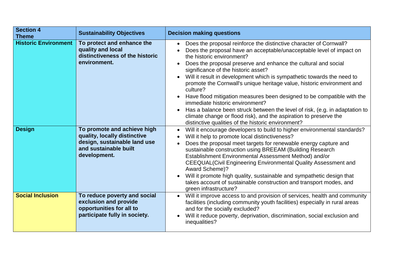| <b>Section 4</b><br><b>Theme</b> | <b>Sustainability Objectives</b>                                                                                                     | <b>Decision making questions</b>                                                                                                                                                                                                                                                                                                                                                                                                                                                                                                                                                                                                                                                                                                                                                                               |
|----------------------------------|--------------------------------------------------------------------------------------------------------------------------------------|----------------------------------------------------------------------------------------------------------------------------------------------------------------------------------------------------------------------------------------------------------------------------------------------------------------------------------------------------------------------------------------------------------------------------------------------------------------------------------------------------------------------------------------------------------------------------------------------------------------------------------------------------------------------------------------------------------------------------------------------------------------------------------------------------------------|
| <b>Historic Environment</b>      | To protect and enhance the<br>quality and local<br>distinctiveness of the historic<br>environment.                                   | Does the proposal reinforce the distinctive character of Cornwall?<br>$\bullet$<br>Does the proposal have an acceptable/unacceptable level of impact on<br>the historic environment?<br>Does the proposal preserve and enhance the cultural and social<br>$\bullet$<br>significance of the historic asset?<br>Will it result in development which is sympathetic towards the need to<br>promote the Cornwall's unique heritage value, historic environment and<br>culture?<br>Have flood mitigation measures been designed to be compatible with the<br>$\bullet$<br>immediate historic environment?<br>Has a balance been struck between the level of risk, (e.g. in adaptation to<br>climate change or flood risk), and the aspiration to preserve the<br>distinctive qualities of the historic environment? |
| <b>Design</b>                    | To promote and achieve high<br>quality, locally distinctive<br>design, sustainable land use<br>and sustainable built<br>development. | Will it encourage developers to build to higher environmental standards?<br>$\bullet$<br>Will it help to promote local distinctiveness?<br>$\bullet$<br>Does the proposal meet targets for renewable energy capture and<br>$\bullet$<br>sustainable construction using BREEAM (Building Research<br>Establishment Environmental Assessment Method) and/or<br><b>CEEQUAL(Civil Engineering Environmental Quality Assessment and</b><br>Award Scheme)?<br>Will it promote high quality, sustainable and sympathetic design that<br>$\bullet$<br>takes account of sustainable construction and transport modes, and<br>green infrastructure?                                                                                                                                                                      |
| <b>Social Inclusion</b>          | To reduce poverty and social<br>exclusion and provide<br>opportunities for all to<br>participate fully in society.                   | Will it improve access to and provision of services, health and community<br>facilities (including community youth facilities) especially in rural areas<br>and for the socially excluded?<br>Will it reduce poverty, deprivation, discrimination, social exclusion and<br>inequalities?                                                                                                                                                                                                                                                                                                                                                                                                                                                                                                                       |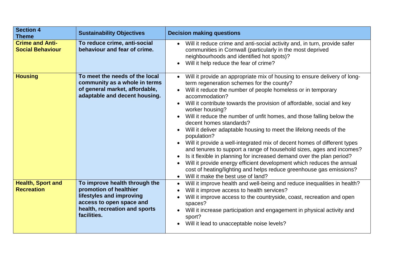| <b>Section 4</b><br><b>Theme</b>                  | <b>Sustainability Objectives</b>                                                                                                                                | <b>Decision making questions</b>                                                                                                                                                                                                                                                                                                                                                                                                                                                                                                                                                                                                                                                                                                                                                                                                                                                                                                                                                                              |
|---------------------------------------------------|-----------------------------------------------------------------------------------------------------------------------------------------------------------------|---------------------------------------------------------------------------------------------------------------------------------------------------------------------------------------------------------------------------------------------------------------------------------------------------------------------------------------------------------------------------------------------------------------------------------------------------------------------------------------------------------------------------------------------------------------------------------------------------------------------------------------------------------------------------------------------------------------------------------------------------------------------------------------------------------------------------------------------------------------------------------------------------------------------------------------------------------------------------------------------------------------|
| <b>Crime and Anti-</b><br><b>Social Behaviour</b> | To reduce crime, anti-social<br>behaviour and fear of crime.                                                                                                    | Will it reduce crime and anti-social activity and, in turn, provide safer<br>$\bullet$<br>communities in Cornwall (particularly in the most deprived<br>neighbourhoods and identified hot spots)?<br>Will it help reduce the fear of crime?<br>$\bullet$                                                                                                                                                                                                                                                                                                                                                                                                                                                                                                                                                                                                                                                                                                                                                      |
| <b>Housing</b>                                    | To meet the needs of the local<br>community as a whole in terms<br>of general market, affordable,<br>adaptable and decent housing.                              | Will it provide an appropriate mix of housing to ensure delivery of long-<br>$\bullet$<br>term regeneration schemes for the county?<br>Will it reduce the number of people homeless or in temporary<br>$\bullet$<br>accommodation?<br>Will it contribute towards the provision of affordable, social and key<br>$\bullet$<br>worker housing?<br>Will it reduce the number of unfit homes, and those falling below the<br>decent homes standards?<br>Will it deliver adaptable housing to meet the lifelong needs of the<br>$\bullet$<br>population?<br>Will it provide a well-integrated mix of decent homes of different types<br>and tenures to support a range of household sizes, ages and incomes?<br>Is it flexible in planning for increased demand over the plan period?<br>$\bullet$<br>Will it provide energy efficient development which reduces the annual<br>$\bullet$<br>cost of heating/lighting and helps reduce greenhouse gas emissions?<br>Will it make the best use of land?<br>$\bullet$ |
| <b>Health, Sport and</b><br><b>Recreation</b>     | To improve health through the<br>promotion of healthier<br>lifestyles and improving<br>access to open space and<br>health, recreation and sports<br>facilities. | Will it improve health and well-being and reduce inequalities in health?<br>$\bullet$<br>Will it improve access to health services?<br>$\bullet$<br>Will it improve access to the countryside, coast, recreation and open<br>spaces?<br>Will it increase participation and engagement in physical activity and<br>$\bullet$<br>sport?<br>Will it lead to unacceptable noise levels?                                                                                                                                                                                                                                                                                                                                                                                                                                                                                                                                                                                                                           |